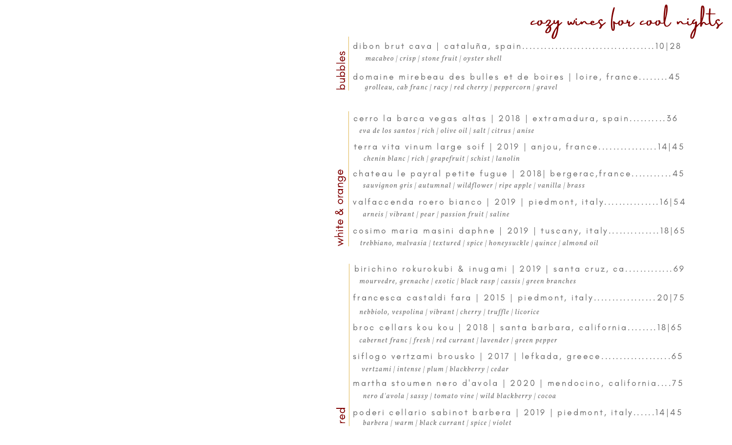|         | cozy wines for cool nights                                                                                                            |
|---------|---------------------------------------------------------------------------------------------------------------------------------------|
|         | macabeo   crisp   stone fruit   oyster shell                                                                                          |
| dapples | domaine mirebeau des bulles et de boires   loire, france45<br>grolleau, cab franc   racy   red cherry   peppercorn   gravel           |
|         | cerro la barca vegas altas   2018   extramadura, spain 36<br>eva de los santos   rich   olive oil   salt   citrus   anise             |
|         | terra vita vinum large soif   2019   anjou, france14   45<br>chenin blanc   rich   grapefruit   schist   lanolin                      |
| orange  | chateau le payral petite fugue   2018  bergerac, france45<br>sauvignon gris   autumnal   wildflower   ripe apple   vanilla   brass    |
| య       | valfaccenda roero bianco   2019   piedmont, italy16  54<br>arneis   vibrant   pear   passion fruit   saline                           |
| white   | cosimo maria masini daphne   2019   tuscany, italy18 65<br>trebbiano, malvasia   textured   spice   honeysuckle   quince   almond oil |
|         | birichino rokurokubi & inugami   2019   santa cruz, ca69<br>mourvedre, grenache   exotic   black rasp   cassis   green branches       |
|         | francesca castaldi fara   2015   piedmont, italy20 75<br>nebbiolo, vespolina   vibrant   cherry   truffle   licorice                  |
|         | broc cellars kou kou   2018   santa barbara, california18 65<br>cabernet franc   fresh   red currant   lavender   green pepper        |
|         | siflogo vertzami brousko   2017   lefkada, greece<br>vertzami   intense   plum   blackberry   cedar                                   |
|         | martha stoumen nero d'avola   2020   mendocino, california75<br>nero d'avola   sassy   tomato vine   wild blackberry   cocoa          |
| ာ<br>စ  | poderi cellario sabinot barbera   2019   piedmont, italy 14 45<br>barbera   warm   black currant   spice   violet                     |